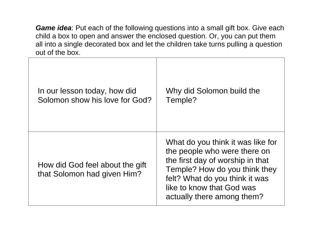*Game idea*: Put each of the following questions into a small gift box. Give each child a box to open and answer the enclosed question. Or, you can put them all into a single decorated box and let the children take turns pulling a question out of the box.

| In our lesson today, how did                                   | Why did Solomon build the                                                                                                                                                                                                           |
|----------------------------------------------------------------|-------------------------------------------------------------------------------------------------------------------------------------------------------------------------------------------------------------------------------------|
| Solomon show his love for God?                                 | Temple?                                                                                                                                                                                                                             |
| How did God feel about the gift<br>that Solomon had given Him? | What do you think it was like for<br>the people who were there on<br>the first day of worship in that<br>Temple? How do you think they<br>felt? What do you think it was<br>like to know that God was<br>actually there among them? |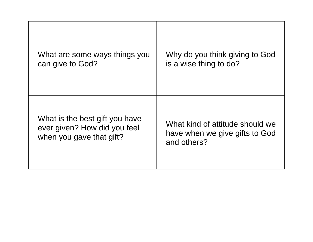| What are some ways things you  | Why do you think giving to God  |
|--------------------------------|---------------------------------|
| can give to God?               | is a wise thing to do?          |
| What is the best gift you have | What kind of attitude should we |
| ever given? How did you feel   | have when we give gifts to God  |
| when you gave that gift?       | and others?                     |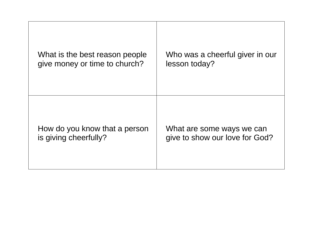| What is the best reason people | Who was a cheerful giver in our |
|--------------------------------|---------------------------------|
| give money or time to church?  | lesson today?                   |
| How do you know that a person  | What are some ways we can       |
| is giving cheerfully?          | give to show our love for God?  |